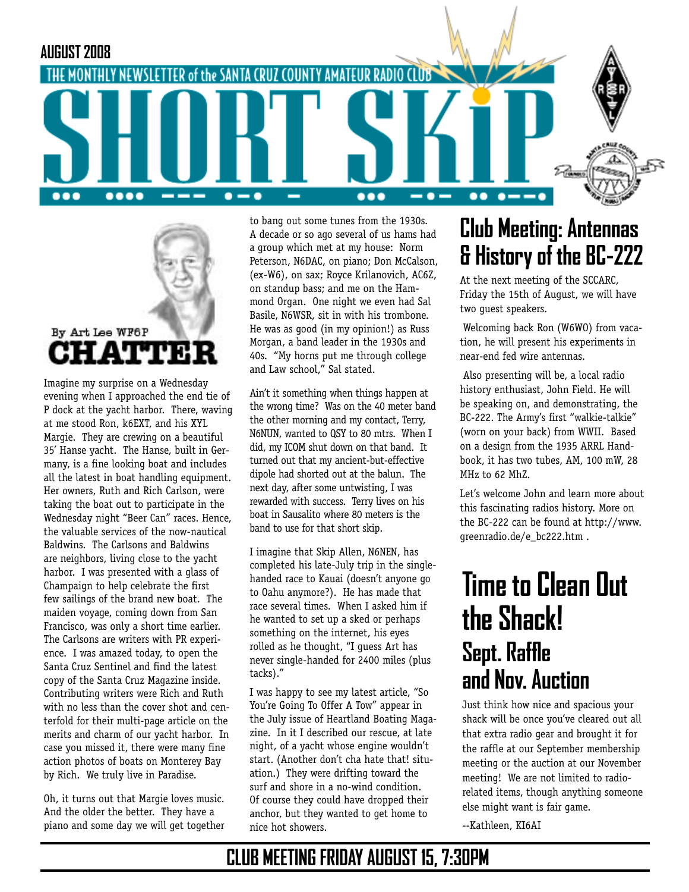



Imagine my surprise on a Wednesday evening when I approached the end tie of P dock at the yacht harbor. There, waving at me stood Ron, k6EXT, and his XYL Margie. They are crewing on a beautiful 35' Hanse yacht. The Hanse, built in Germany, is a fine looking boat and includes all the latest in boat handling equipment. Her owners, Ruth and Rich Carlson, were taking the boat out to participate in the Wednesday night "Beer Can" races. Hence, the valuable services of the now-nautical Baldwins. The Carlsons and Baldwins are neighbors, living close to the yacht harbor. I was presented with a glass of Champaign to help celebrate the first few sailings of the brand new boat. The maiden voyage, coming down from San Francisco, was only a short time earlier. The Carlsons are writers with PR experience. I was amazed today, to open the Santa Cruz Sentinel and find the latest copy of the Santa Cruz Magazine inside. Contributing writers were Rich and Ruth with no less than the cover shot and centerfold for their multi-page article on the merits and charm of our yacht harbor. In case you missed it, there were many fine action photos of boats on Monterey Bay by Rich. We truly live in Paradise.

Oh, it turns out that Margie loves music. And the older the better. They have a piano and some day we will get together

to bang out some tunes from the 1930s. A decade or so ago several of us hams had a group which met at my house: Norm Peterson, N6DAC, on piano; Don McCalson, (ex-W6), on sax; Royce Krilanovich, AC6Z, on standup bass; and me on the Hammond Organ. One night we even had Sal Basile, N6WSR, sit in with his trombone. He was as good (in my opinion!) as Russ Morgan, a band leader in the 1930s and 40s. "My horns put me through college and Law school," Sal stated.

Ain't it something when things happen at the wrong time? Was on the 40 meter band the other morning and my contact, Terry, N6NUN, wanted to QSY to 80 mtrs. When I did, my ICOM shut down on that band. It turned out that my ancient-but-effective dipole had shorted out at the balun. The next day, after some untwisting, I was rewarded with success. Terry lives on his boat in Sausalito where 80 meters is the band to use for that short skip.

I imagine that Skip Allen, N6NEN, has completed his late-July trip in the singlehanded race to Kauai (doesn't anyone go to Oahu anymore?). He has made that race several times. When I asked him if he wanted to set up a sked or perhaps something on the internet, his eyes rolled as he thought, "I guess Art has never single-handed for 2400 miles (plus tacks)."

I was happy to see my latest article, "So You're Going To Offer A Tow" appear in the July issue of Heartland Boating Magazine. In it I described our rescue, at late night, of a yacht whose engine wouldn't start. (Another don't cha hate that! situation.) They were drifting toward the surf and shore in a no-wind condition. Of course they could have dropped their anchor, but they wanted to get home to nice hot showers.

## **Club Meeting: Antennas & History of the BC-222**

At the next meeting of the SCCARC, Friday the 15th of August, we will have two guest speakers.

 Welcoming back Ron (W6WO) from vacation, he will present his experiments in near-end fed wire antennas.

 Also presenting will be, a local radio history enthusiast, John Field. He will be speaking on, and demonstrating, the BC-222. The Army's first "walkie-talkie" (worn on your back) from WWII. Based on a design from the 1935 ARRL Handbook, it has two tubes, AM, 100 mW, 28 MHz to 62 MhZ.

Let's welcome John and learn more about this fascinating radios history. More on the BC-222 can be found at http://www. greenradio.de/e\_bc222.htm .

# **Time to Clean Out the Shack! Sept. Raffle and Nov. Auction**

Just think how nice and spacious your shack will be once you've cleared out all that extra radio gear and brought it for the raffle at our September membership meeting or the auction at our November meeting! We are not limited to radiorelated items, though anything someone else might want is fair game.

--Kathleen, KI6AI